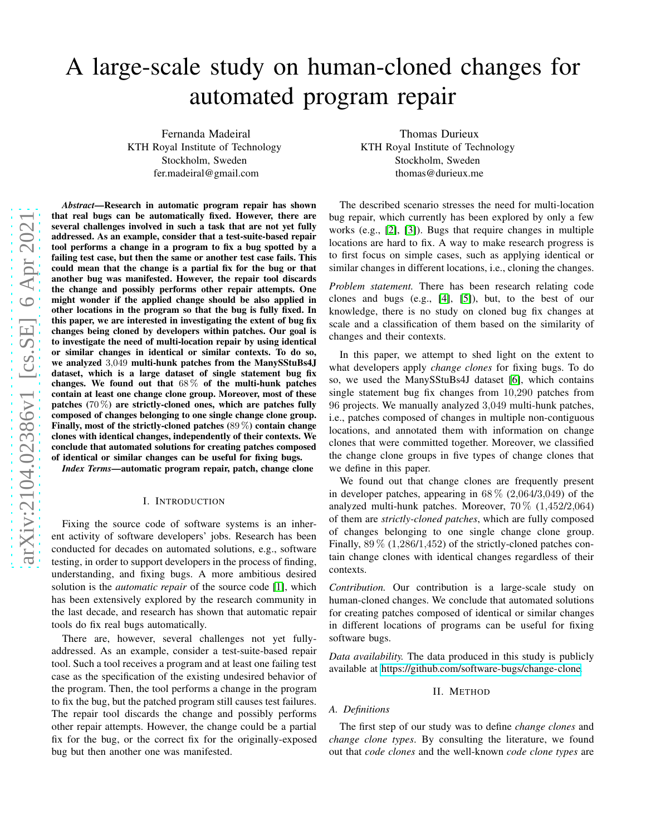# A large-scale study on human-cloned changes for automated program repair

Fernanda Madeiral KTH Royal Institute of Technology Stockholm, Sweden fer.madeiral@gmail.com

arXiv:2104.02386v1 [cs.SE] 6 Apr 2021 [arXiv:2104.02386v1 \[cs.SE\] 6 Apr 2021](http://arxiv.org/abs/2104.02386v1)

*Abstract*—Research in automatic program repair has shown that real bugs can be automatically fixed. However, there are several challenges involved in such a task that are not yet fully addressed. As an example, consider that a test-suite-based repair tool performs a change in a program to fix a bug spotted by a failing test case, but then the same or another test case fails. This could mean that the change is a partial fix for the bug or that another bug was manifested. However, the repair tool discards the change and possibly performs other repair attempts. One might wonder if the applied change should be also applied in other locations in the program so that the bug is fully fixed. In this paper, we are interested in investigating the extent of bug fix changes being cloned by developers within patches. Our goal is to investigate the need of multi-location repair by using identical or similar changes in identical or similar contexts. To do so, we analyzed <sup>3</sup>,<sup>049</sup> multi-hunk patches from the ManySStuBs4J dataset, which is a large dataset of single statement bug fix changes. We found out that  $68\%$  of the multi-hunk patches contain at least one change clone group. Moreover, most of these patches (70 %) are strictly-cloned ones, which are patches fully composed of changes belonging to one single change clone group. Finally, most of the strictly-cloned patches  $(89\%)$  contain change clones with identical changes, independently of their contexts. We conclude that automated solutions for creating patches composed of identical or similar changes can be useful for fixing bugs.

*Index Terms*—automatic program repair, patch, change clone

#### I. INTRODUCTION

Fixing the source code of software systems is an inherent activity of software developers' jobs. Research has been conducted for decades on automated solutions, e.g., software testing, in order to support developers in the process of finding, understanding, and fixing bugs. A more ambitious desired solution is the *automatic repair* of the source code [\[1\]](#page-4-0), which has been extensively explored by the research community in the last decade, and research has shown that automatic repair tools do fix real bugs automatically.

There are, however, several challenges not yet fullyaddressed. As an example, consider a test-suite-based repair tool. Such a tool receives a program and at least one failing test case as the specification of the existing undesired behavior of the program. Then, the tool performs a change in the program to fix the bug, but the patched program still causes test failures. The repair tool discards the change and possibly performs other repair attempts. However, the change could be a partial fix for the bug, or the correct fix for the originally-exposed bug but then another one was manifested.

Thomas Durieux KTH Royal Institute of Technology Stockholm, Sweden thomas@durieux.me

The described scenario stresses the need for multi-location bug repair, which currently has been explored by only a few works (e.g., [\[2\]](#page-4-1), [\[3\]](#page-4-2)). Bugs that require changes in multiple locations are hard to fix. A way to make research progress is to first focus on simple cases, such as applying identical or similar changes in different locations, i.e., cloning the changes.

*Problem statement.* There has been research relating code clones and bugs (e.g., [\[4\]](#page-4-3), [\[5\]](#page-4-4)), but, to the best of our knowledge, there is no study on cloned bug fix changes at scale and a classification of them based on the similarity of changes and their contexts.

In this paper, we attempt to shed light on the extent to what developers apply *change clones* for fixing bugs. To do so, we used the ManySStuBs4J dataset [\[6\]](#page-4-5), which contains single statement bug fix changes from <sup>10</sup>,<sup>290</sup> patches from <sup>96</sup> projects. We manually analyzed <sup>3</sup>,<sup>049</sup> multi-hunk patches, i.e., patches composed of changes in multiple non-contiguous locations, and annotated them with information on change clones that were committed together. Moreover, we classified the change clone groups in five types of change clones that we define in this paper.

We found out that change clones are frequently present in developer patches, appearing in  $68\%$  (2,064/3,049) of the analyzed multi-hunk patches. Moreover,  $70\%$   $(1,452/2,064)$ of them are *strictly-cloned patches*, which are fully composed of changes belonging to one single change clone group. Finally,  $89\%$  (1,286/1,452) of the strictly-cloned patches contain change clones with identical changes regardless of their contexts.

*Contribution.* Our contribution is a large-scale study on human-cloned changes. We conclude that automated solutions for creating patches composed of identical or similar changes in different locations of programs can be useful for fixing software bugs.

*Data availability.* The data produced in this study is publicly available at [https://github.com/software-bugs/change-clone.](https://github.com/software-bugs/change-clone)

#### II. METHOD

# <span id="page-0-0"></span>*A. Definitions*

The first step of our study was to define *change clones* and *change clone types*. By consulting the literature, we found out that *code clones* and the well-known *code clone types* are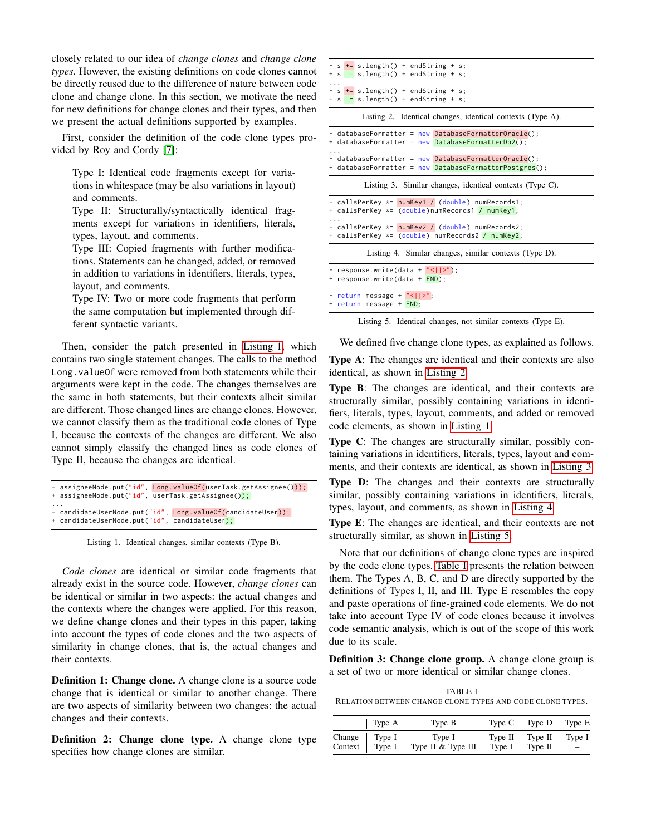closely related to our idea of *change clones* and *change clone types*. However, the existing definitions on code clones cannot be directly reused due to the difference of nature between code clone and change clone. In this section, we motivate the need for new definitions for change clones and their types, and then we present the actual definitions supported by examples.

First, consider the definition of the code clone types provided by Roy and Cordy [\[7\]](#page-4-6):

Type I: Identical code fragments except for variations in whitespace (may be also variations in layout) and comments.

Type II: Structurally/syntactically identical fragments except for variations in identifiers, literals, types, layout, and comments.

Type III: Copied fragments with further modifications. Statements can be changed, added, or removed in addition to variations in identifiers, literals, types, layout, and comments.

Type IV: Two or more code fragments that perform the same computation but implemented through different syntactic variants.

Then, consider the patch presented in [Listing 1,](#page-1-0) which contains two single statement changes. The calls to the method Long. value Of were removed from both statements while their arguments were kept in the code. The changes themselves are the same in both statements, but their contexts albeit similar are different. Those changed lines are change clones. However, we cannot classify them as the traditional code clones of Type I, because the contexts of the changes are different. We also cannot simply classify the changed lines as code clones of Type II, because the changes are identical.

```
assigneeNode.put("id", Long.valueOf(userTask.getAssignee()));
+ assigneeNode.put("id", userTask.getAssignee());
...
 candidateUserNode.put("id", Long.valueOf(candidateUser));
 candidateUserNode.put("id", candidateUser);
```
Listing 1. Identical changes, similar contexts (Type B).

*Code clones* are identical or similar code fragments that already exist in the source code. However, *change clones* can be identical or similar in two aspects: the actual changes and the contexts where the changes were applied. For this reason, we define change clones and their types in this paper, taking into account the types of code clones and the two aspects of similarity in change clones, that is, the actual changes and their contexts.

Definition 1: Change clone. A change clone is a source code change that is identical or similar to another change. There are two aspects of similarity between two changes: the actual changes and their contexts.

Definition 2: Change clone type. A change clone type specifies how change clones are similar.

<span id="page-1-1"></span>

|   |  | $-$ s $+$ = s.length() + endString + s; |  |  |
|---|--|-----------------------------------------|--|--|
|   |  | $+$ s = s.length() + endString + s;     |  |  |
| . |  |                                         |  |  |
|   |  | $-$ s $+$ = s.length() + endString + s; |  |  |
|   |  | $+$ s = s.length() + endString + s;     |  |  |
|   |  |                                         |  |  |

Listing 2. Identical changes, identical contexts (Type A).

<span id="page-1-2"></span>

| + databaseFormatter = new DatabaseFormatterDb2();        | - databaseFormatter = new DatabaseFormatterOracle();                                                           |  |  |  |  |
|----------------------------------------------------------|----------------------------------------------------------------------------------------------------------------|--|--|--|--|
| $\cdots$                                                 | - databaseFormatter = new DatabaseFormatterOracle();<br>+ databaseFormatter = new DatabaseFormatterPostgres(); |  |  |  |  |
| Listing 3. Similar changes, identical contexts (Type C). |                                                                                                                |  |  |  |  |

```
callsPerKey *= numKey1 / (double) numRecords1;
+ callsPerKey *= (double)numRecords1 / numKey1;
...
- callsPerKey *= numKey2 / (double) numRecords2;
+ callsPerKey *= (double) numRecords2 / numKey2;
         Listing 4. Similar changes, similar contexts (Type D).
```
<span id="page-1-4"></span>response.write (data +  $"$  <  $|$  |>"); + response.write(data + END); ... - return message + "<||>"; + return message + END;

Listing 5. Identical changes, not similar contexts (Type E).

We defined five change clone types, as explained as follows.

Type A: The changes are identical and their contexts are also identical, as shown in [Listing 2.](#page-1-1)

Type B: The changes are identical, and their contexts are structurally similar, possibly containing variations in identifiers, literals, types, layout, comments, and added or removed code elements, as shown in [Listing 1.](#page-1-0)

Type C: The changes are structurally similar, possibly containing variations in identifiers, literals, types, layout and comments, and their contexts are identical, as shown in [Listing](#page-1-2) 3.

Type D: The changes and their contexts are structurally similar, possibly containing variations in identifiers, literals, types, layout, and comments, as shown in [Listing 4.](#page-1-3)

Type E: The changes are identical, and their contexts are not structurally similar, as shown in [Listing 5.](#page-1-4)

Note that our definitions of change clone types are inspired by the code clone types. [Table I](#page-1-5) presents the relation between them. The Types A, B, C, and D are directly supported by the definitions of Types I, II, and III. Type E resembles the copy and paste operations of fine-grained code elements. We do not take into account Type IV of code clones because it involves code semantic analysis, which is out of the scope of this work due to its scale.

Definition 3: Change clone group. A change clone group is a set of two or more identical or similar change clones.

<span id="page-1-5"></span>TABLE I RELATION BETWEEN CHANGE CLONE TYPES AND CODE CLONE TYPES.

|                                 | Type A | Type B                       |                   | Type C Type D Type E |                             |
|---------------------------------|--------|------------------------------|-------------------|----------------------|-----------------------------|
| Change Type I<br>Context Type I |        | Type I<br>Type II & Type III | Type II<br>Type I | Type II<br>Type II   | Type 1<br>$\qquad \qquad -$ |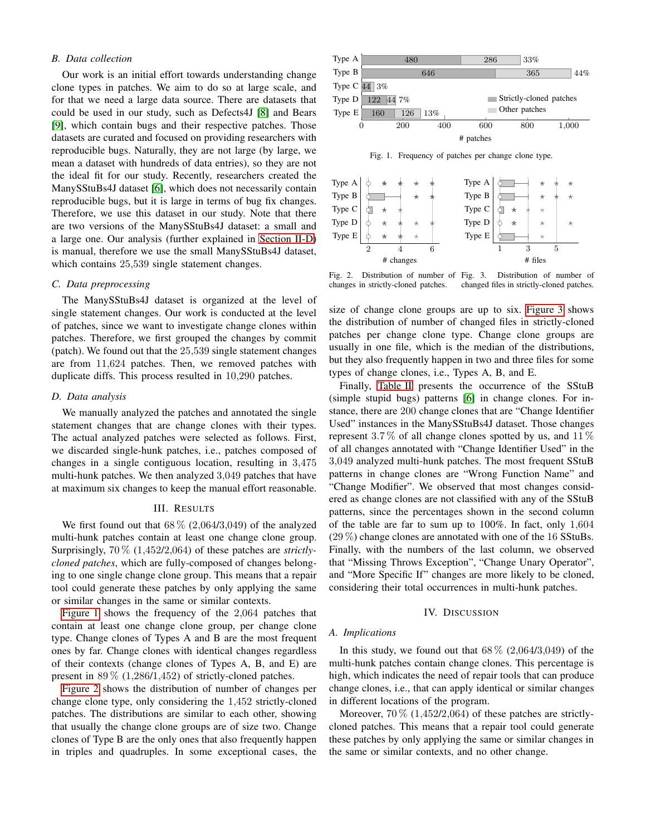# *B. Data collection*

Our work is an initial effort towards understanding change clone types in patches. We aim to do so at large scale, and for that we need a large data source. There are datasets that could be used in our study, such as Defects4J [\[8\]](#page-4-7) and Bears [\[9\]](#page-4-8), which contain bugs and their respective patches. Those datasets are curated and focused on providing researchers with reproducible bugs. Naturally, they are not large (by large, we mean a dataset with hundreds of data entries), so they are not the ideal fit for our study. Recently, researchers created the ManySStuBs4J dataset [\[6\]](#page-4-5), which does not necessarily contain reproducible bugs, but it is large in terms of bug fix changes. Therefore, we use this dataset in our study. Note that there are two versions of the ManySStuBs4J dataset: a small and a large one. Our analysis (further explained in [Section II-D\)](#page-2-0) is manual, therefore we use the small ManySStuBs4J dataset, which contains  $25,539$  single statement changes.

# *C. Data preprocessing*

The ManySStuBs4J dataset is organized at the level of single statement changes. Our work is conducted at the level of patches, since we want to investigate change clones within patches. Therefore, we first grouped the changes by commit (patch). We found out that the <sup>25</sup>,<sup>539</sup> single statement changes are from <sup>11</sup>,<sup>624</sup> patches. Then, we removed patches with duplicate diffs. This process resulted in <sup>10</sup>,<sup>290</sup> patches.

#### <span id="page-2-0"></span>*D. Data analysis*

We manually analyzed the patches and annotated the single statement changes that are change clones with their types. The actual analyzed patches were selected as follows. First, we discarded single-hunk patches, i.e., patches composed of changes in a single contiguous location, resulting in <sup>3</sup>,<sup>475</sup> multi-hunk patches. We then analyzed <sup>3</sup>,<sup>049</sup> patches that have at maximum six changes to keep the manual effort reasonable.

### III. RESULTS

We first found out that  $68\%$  (2,064/3,049) of the analyzed multi-hunk patches contain at least one change clone group. Surprisingly, 70 % (1,452/2,064) of these patches are *strictlycloned patches*, which are fully-composed of changes belonging to one single change clone group. This means that a repair tool could generate these patches by only applying the same or similar changes in the same or similar contexts.

[Figure 1](#page-2-1) shows the frequency of the <sup>2</sup>,<sup>064</sup> patches that contain at least one change clone group, per change clone type. Change clones of Types A and B are the most frequent ones by far. Change clones with identical changes regardless of their contexts (change clones of Types A, B, and E) are present in  $89\%$  (1,286/1,452) of strictly-cloned patches.

[Figure 2](#page-2-2) shows the distribution of number of changes per change clone type, only considering the <sup>1</sup>,<sup>452</sup> strictly-cloned patches. The distributions are similar to each other, showing that usually the change clone groups are of size two. Change clones of Type B are the only ones that also frequently happen in triples and quadruples. In some exceptional cases, the



<span id="page-2-1"></span>Fig. 1. Frequency of patches per change clone type.



<span id="page-2-2"></span>Fig. 2. Distribution of number of Fig. 3. changes in strictly-cloned patches.

<span id="page-2-3"></span>Distribution of number of changed files in strictly-cloned patches.

size of change clone groups are up to six. [Figure 3](#page-2-3) shows the distribution of number of changed files in strictly-cloned patches per change clone type. Change clone groups are usually in one file, which is the median of the distributions, but they also frequently happen in two and three files for some types of change clones, i.e., Types A, B, and E.

Finally, [Table II](#page-3-0) presents the occurrence of the SStuB (simple stupid bugs) patterns [\[6\]](#page-4-5) in change clones. For instance, there are 200 change clones that are "Change Identifier Used" instances in the ManySStuBs4J dataset. Those changes represent 3.7% of all change clones spotted by us, and  $11\%$ of all changes annotated with "Change Identifier Used" in the <sup>3</sup>,<sup>049</sup> analyzed multi-hunk patches. The most frequent SStuB patterns in change clones are "Wrong Function Name" and "Change Modifier". We observed that most changes considered as change clones are not classified with any of the SStuB patterns, since the percentages shown in the second column of the table are far to sum up to 100%. In fact, only <sup>1</sup>,<sup>604</sup>  $(29\%)$  change clones are annotated with one of the 16 SStuBs. Finally, with the numbers of the last column, we observed that "Missing Throws Exception", "Change Unary Operator", and "More Specific If" changes are more likely to be cloned, considering their total occurrences in multi-hunk patches.

#### IV. DISCUSSION

## *A. Implications*

In this study, we found out that  $68\%$   $(2,064/3,049)$  of the multi-hunk patches contain change clones. This percentage is high, which indicates the need of repair tools that can produce change clones, i.e., that can apply identical or similar changes in different locations of the program.

Moreover,  $70\%$  (1,452/2,064) of these patches are strictlycloned patches. This means that a repair tool could generate these patches by only applying the same or similar changes in the same or similar contexts, and no other change.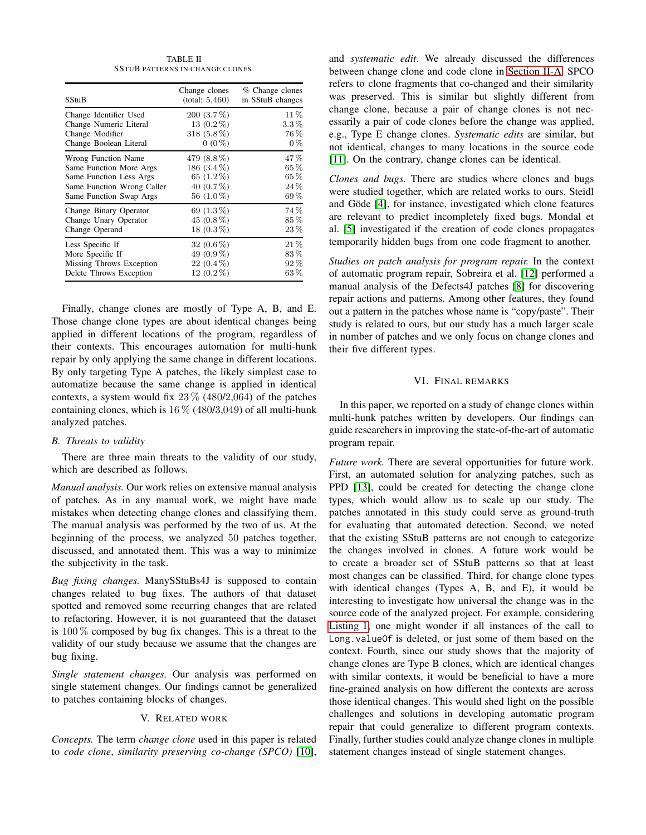TABLE II SSTUB PATTERNS IN CHANGE CLONES.

<span id="page-3-0"></span>

| SStuB                      | Change clones<br>(total: 5,460) | % Change clones<br>in SStuB changes |
|----------------------------|---------------------------------|-------------------------------------|
| Change Identifier Used     | 200 (3.7%)                      | 11\%                                |
| Change Numeric Literal     | 13 (0.2%)                       | $3.3\%$                             |
| Change Modifier            | 318 $(5.8\%)$                   | 76 %                                |
| Change Boolean Literal     | $0(0\%)$                        | $0\%$                               |
| Wrong Function Name        | 479 (8.8%)                      | 47%                                 |
| Same Function More Args    | 186 (3.4%)                      | $65\%$                              |
| Same Function Less Args    | 65 $(1.2\%)$                    | 65%                                 |
| Same Function Wrong Caller | 40 $(0.7\%)$                    | 24%                                 |
| Same Function Swap Args    | 56 $(1.0\%)$                    | $69\%$                              |
| Change Binary Operator     | 69 (1.3%)                       | 74%                                 |
| Change Unary Operator      | 45 (0.8%)                       | 85%                                 |
| Change Operand             | 18 $(0.3\%)$                    | $23\%$                              |
| Less Specific If           | 32 $(0.6\%)$                    | $21\%$                              |
| More Specific If           | 49 (0.9%)                       | 83%                                 |
| Missing Throws Exception   | $22(0.4\%)$                     | $92\%$                              |
| Delete Throws Exception    | 12 $(0.2\%)$                    | $63\,\%$                            |

Finally, change clones are mostly of Type A, B, and E. Those change clone types are about identical changes being applied in different locations of the program, regardless of their contexts. This encourages automation for multi-hunk repair by only applying the same change in different locations. By only targeting Type A patches, the likely simplest case to automatize because the same change is applied in identical contexts, a system would fix  $23\%$  (480/2,064) of the patches containing clones, which is  $16\%$  (480/3,049) of all multi-hunk analyzed patches.

## *B. Threats to validity*

There are three main threats to the validity of our study, which are described as follows.

*Manual analysis.* Our work relies on extensive manual analysis of patches. As in any manual work, we might have made mistakes when detecting change clones and classifying them. The manual analysis was performed by the two of us. At the beginning of the process, we analyzed 50 patches together, discussed, and annotated them. This was a way to minimize the subjectivity in the task.

*Bug fixing changes.* ManySStuBs4J is supposed to contain changes related to bug fixes. The authors of that dataset spotted and removed some recurring changes that are related to refactoring. However, it is not guaranteed that the dataset is 100 % composed by bug fix changes. This is a threat to the validity of our study because we assume that the changes are bug fixing.

*Single statement changes.* Our analysis was performed on single statement changes. Our findings cannot be generalized to patches containing blocks of changes.

## V. RELATED WORK

*Concepts.* The term *change clone* used in this paper is related to *code clone*, *similarity preserving co-change (SPCO)* [\[10\]](#page-4-9),

and *systematic edit*. We already discussed the differences between change clone and code clone in [Section II-A.](#page-0-0) SPCO refers to clone fragments that co-changed and their similarity was preserved. This is similar but slightly different from change clone, because a pair of change clones is not necessarily a pair of code clones before the change was applied, e.g., Type E change clones. *Systematic edits* are similar, but not identical, changes to many locations in the source code [\[11\]](#page-4-10). On the contrary, change clones can be identical.

*Clones and bugs.* There are studies where clones and bugs were studied together, which are related works to ours. Steidl and Göde [\[4\]](#page-4-3), for instance, investigated which clone features are relevant to predict incompletely fixed bugs. Mondal et al. [\[5\]](#page-4-4) investigated if the creation of code clones propagates temporarily hidden bugs from one code fragment to another.

*Studies on patch analysis for program repair.* In the context of automatic program repair, Sobreira et al. [\[12\]](#page-4-11) performed a manual analysis of the Defects4J patches [\[8\]](#page-4-7) for discovering repair actions and patterns. Among other features, they found out a pattern in the patches whose name is "copy/paste". Their study is related to ours, but our study has a much larger scale in number of patches and we only focus on change clones and their five different types.

## VI. FINAL REMARKS

In this paper, we reported on a study of change clones within multi-hunk patches written by developers. Our findings can guide researchers in improving the state-of-the-art of automatic program repair.

*Future work.* There are several opportunities for future work. First, an automated solution for analyzing patches, such as PPD [\[13\]](#page-4-12), could be created for detecting the change clone types, which would allow us to scale up our study. The patches annotated in this study could serve as ground-truth for evaluating that automated detection. Second, we noted that the existing SStuB patterns are not enough to categorize the changes involved in clones. A future work would be to create a broader set of SStuB patterns so that at least most changes can be classified. Third, for change clone types with identical changes (Types A, B, and E), it would be interesting to investigate how universal the change was in the source code of the analyzed project. For example, considering [Listing 1,](#page-1-0) one might wonder if all instances of the call to Long.valueOf is deleted, or just some of them based on the context. Fourth, since our study shows that the majority of change clones are Type B clones, which are identical changes with similar contexts, it would be beneficial to have a more fine-grained analysis on how different the contexts are across those identical changes. This would shed light on the possible challenges and solutions in developing automatic program repair that could generalize to different program contexts. Finally, further studies could analyze change clones in multiple statement changes instead of single statement changes.